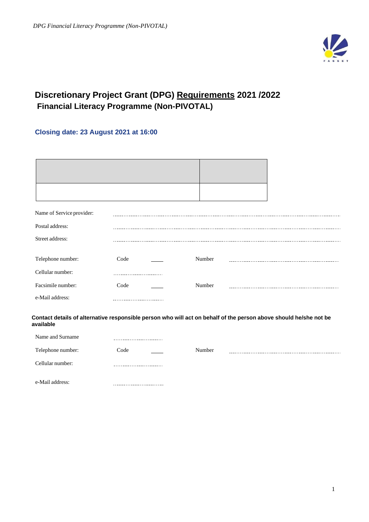

# **Discretionary Project Grant (DPG) Requirements 2021 /2022 Financial Literacy Programme (Non-PIVOTAL)**

# **Closing date: 23 August 2021 at 16:00**

| Name of Service provider:                                                                                                      |                               |        |  |  |
|--------------------------------------------------------------------------------------------------------------------------------|-------------------------------|--------|--|--|
| Postal address:                                                                                                                |                               |        |  |  |
| Street address:                                                                                                                |                               |        |  |  |
|                                                                                                                                |                               |        |  |  |
| Telephone number:                                                                                                              | Code                          | Number |  |  |
|                                                                                                                                |                               |        |  |  |
| Cellular number:                                                                                                               |                               |        |  |  |
| Facsimile number:                                                                                                              | Code                          | Number |  |  |
| e-Mail address:                                                                                                                |                               |        |  |  |
|                                                                                                                                |                               |        |  |  |
| Contact details of alternative responsible person who will act on behalf of the person above should he/she not be<br>available |                               |        |  |  |
| Name and Surname                                                                                                               |                               |        |  |  |
| Telephone number:                                                                                                              | Code                          | Number |  |  |
| Cellular number:                                                                                                               | .                             |        |  |  |
| e-Mail address:                                                                                                                | ----------------------------- |        |  |  |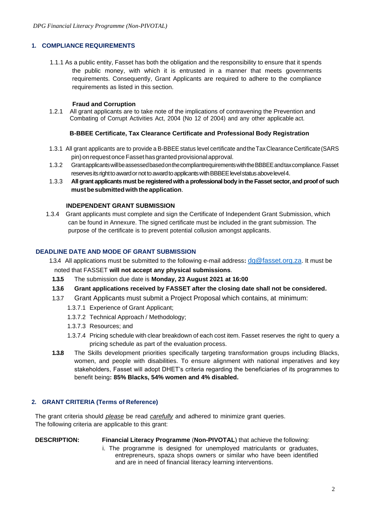## **1. COMPLIANCE REQUIREMENTS**

1.1.1 As a public entity, Fasset has both the obligation and the responsibility to ensure that it spends the public money, with which it is entrusted in a manner that meets governments requirements. Consequently, Grant Applicants are required to adhere to the compliance requirements as listed in this section.

#### **Fraud and Corruption**

1.2.1 All grant applicants are to take note of the implications of contravening the Prevention and Combating of Corrupt Activities Act, 2004 (No 12 of 2004) and any other applicable act.

#### **B-BBEE Certificate, Tax Clearance Certificate and Professional Body Registration**

- 1.3.1 All grant applicants are to provide a B-BBEE status level certificate andtheTaxClearanceCertificate(SARS pin) on request once Fasset has granted provisional approval.
- 1.3.2 GrantapplicantswillbeassessedbasedonthecompliantrequirementswiththeBBBEEandtaxcompliance.Fasset reserves its right to award or not to award to applicants with BBBEE level status above level 4.
- 1.3.3 **All grant applicantsmust be registeredwith a professionalbody in the Fasset sector, and proofof such mustbesubmittedwiththe application**.

### **INDEPENDENT GRANT SUBMISSION**

1.3.4 Grant applicants must complete and sign the Certificate of Independent Grant Submission, which can be found in Annexure. The signed certificate must be included in the grant submission. The purpose of the certificate is to prevent potential collusion amongst applicants.

## **DEADLINE DATE AND MODE OF GRANT SUBMISSION**

- 1.3.4 All applications must be submitted to the following e-mail address**:** [dg@fasset.org.za](mailto:dg@fasset.org.za). It must be noted that FASSET **will not accept any physical submissions**.
- **1.3.5** The submission due date is **Monday, 23 August 2021 at 16:00**
- **1.3.6 Grant applications received by FASSET after the closing date shall not be considered.**
- 1.3.7 Grant Applicants must submit a Project Proposal which contains, at minimum:
	- 1.3.7.1 Experience of Grant Applicant;
	- 1.3.7.2 Technical Approach / Methodology;
	- 1.3.7.3 Resources; and
	- 1.3.7.4 Pricing schedule with clear breakdown of each cost item. Fasset reserves the right to query a pricing schedule as part of the evaluation process.
- **1.3.8** The Skills development priorities specifically targeting transformation groups including Blacks, women, and people with disabilities. To ensure alignment with national imperatives and key stakeholders, Fasset will adopt DHET's criteria regarding the beneficiaries of its programmes to benefit being**: 85% Blacks, 54% women and 4% disabled.**

## **2. GRANT CRITERIA (Terms of Reference)**

The grant criteria should *please* be read *carefully* and adhered to minimize grant queries. The following criteria are applicable to this grant:

#### **DESCRIPTION: Financial Literacy Programme** (**Non-PIVOTAL**) that achieve the following:

i. The programme is designed for unemployed matriculants or graduates, entrepreneurs, spaza shops owners or similar who have been identified and are in need of financial literacy learning interventions.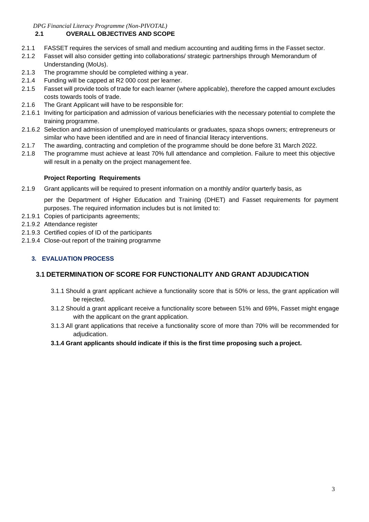*DPG Financial Literacy Programme (Non-PIVOTAL)*

## **2.1 OVERALL OBJECTIVES AND SCOPE**

- 2.1.1 FASSET requires the services of small and medium accounting and auditing firms in the Fasset sector.
- 2.1.2 Fasset will also consider getting into collaborations/ strategic partnerships through Memorandum of Understanding (MoUs).
- 2.1.3 The programme should be completed withing a year.
- 2.1.4 Funding will be capped at R2 000 cost per learner.
- 2.1.5 Fasset will provide tools of trade for each learner (where applicable), therefore the capped amount excludes costs towards tools of trade.
- 2.1.6 The Grant Applicant will have to be responsible for:
- 2.1.6.1 Inviting for participation and admission of various beneficiaries with the necessary potential to complete the training programme.
- 2.1.6.2 Selection and admission of unemployed matriculants or graduates, spaza shops owners; entrepreneurs or similar who have been identified and are in need of financial literacy interventions.
- 2.1.7 The awarding, contracting and completion of the programme should be done before 31 March 2022.
- 2.1.8 The programme must achieve at least 70% full attendance and completion. Failure to meet this objective will result in a penalty on the project management fee.

## **Project Reporting Requirements**

2.1.9 Grant applicants will be required to present information on a monthly and/or quarterly basis, as

per the Department of Higher Education and Training (DHET) and Fasset requirements for payment purposes. The required information includes but is not limited to:

- 2.1.9.1 Copies of participants agreements;
- 2.1.9.2 Attendance register
- 2.1.9.3 Certified copies of ID of the participants
- 2.1.9.4 Close-out report of the training programme

## **3. EVALUATION PROCESS**

## **3.1 DETERMINATION OF SCORE FOR FUNCTIONALITY AND GRANT ADJUDICATION**

- 3.1.1 Should a grant applicant achieve a functionality score that is 50% or less, the grant application will be rejected.
- 3.1.2 Should a grant applicant receive a functionality score between 51% and 69%, Fasset might engage with the applicant on the grant application.
- 3.1.3 All grant applications that receive a functionality score of more than 70% will be recommended for adjudication.
- **3.1.4 Grant applicants should indicate if this is the first time proposing such a project.**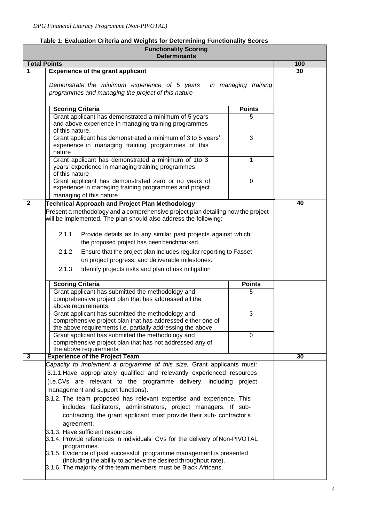|              | <b>Functionality Scoring</b><br><b>Determinants</b>                                                                                                                                                                                                                          |                      |     |
|--------------|------------------------------------------------------------------------------------------------------------------------------------------------------------------------------------------------------------------------------------------------------------------------------|----------------------|-----|
|              | <b>Total Points</b>                                                                                                                                                                                                                                                          |                      | 100 |
| 1            | <b>Experience of the grant applicant</b>                                                                                                                                                                                                                                     |                      | 30  |
|              | Demonstrate the minimum experience of 5 years<br>programmes and managing the project of this nature                                                                                                                                                                          | in managing training |     |
|              | <b>Scoring Criteria</b>                                                                                                                                                                                                                                                      | <b>Points</b>        |     |
|              | Grant applicant has demonstrated a minimum of 5 years<br>and above experience in managing training programmes<br>of this nature.                                                                                                                                             | 5                    |     |
|              | Grant applicant has demonstrated a minimum of 3 to 5 years'<br>experience in managing training programmes of this<br>nature                                                                                                                                                  | 3                    |     |
|              | Grant applicant has demonstrated a minimum of 1to 3<br>years' experience in managing training programmes<br>of this nature                                                                                                                                                   | 1                    |     |
|              | Grant applicant has demonstrated zero or no years of<br>experience in managing training programmes and project<br>managing of this nature                                                                                                                                    | 0                    |     |
| $\mathbf{2}$ | <b>Technical Approach and Project Plan Methodology</b>                                                                                                                                                                                                                       |                      | 40  |
|              | Present a methodology and a comprehensive project plan detailing how the project<br>will be implemented. The plan should also address the following:<br>2.1.1<br>Provide details as to any similar past projects against which<br>the proposed project has been benchmarked. |                      |     |
|              | 2.1.2<br>Ensure that the project plan includes regular reporting to Fasset<br>on project progress, and deliverable milestones.                                                                                                                                               |                      |     |
|              | 2.1.3<br>Identify projects risks and plan of risk mitigation                                                                                                                                                                                                                 |                      |     |
|              | <b>Scoring Criteria</b>                                                                                                                                                                                                                                                      | <b>Points</b>        |     |
|              | Grant applicant has submitted the methodology and<br>comprehensive project plan that has addressed all the<br>above requirements.                                                                                                                                            | 5                    |     |
|              | Grant applicant has submitted the methodology and<br>comprehensive project plan that has addressed either one of<br>the above requirements i.e. partially addressing the above                                                                                               | 3                    |     |
|              | Grant applicant has submitted the methodology and<br>comprehensive project plan that has not addressed any of<br>the above requirements                                                                                                                                      | 0                    |     |
| 3            | <b>Experience of the Project Team</b>                                                                                                                                                                                                                                        |                      | 30  |
|              | Capacity to implement a programme of this size, Grant applicants must:                                                                                                                                                                                                       |                      |     |
|              | 3.1.1. Have appropriately qualified and relevantly experienced resources                                                                                                                                                                                                     |                      |     |
|              | (i.e.CVs are relevant to the programme delivery, including project                                                                                                                                                                                                           |                      |     |
|              | management and support functions).                                                                                                                                                                                                                                           |                      |     |
|              | 3.1.2. The team proposed has relevant expertise and experience. This<br>includes facilitators, administrators, project managers. If sub-<br>contracting, the grant applicant must provide their sub- contractor's<br>agreement.                                              |                      |     |
|              | 3.1.3. Have sufficient resources<br>3.1.4. Provide references in individuals' CVs for the delivery of Non-PIVOTAL<br>programmes.<br>3.1.5. Evidence of past successful programme management is presented                                                                     |                      |     |
|              | (including the ability to achieve the desired throughput rate).<br>3.1.6. The majority of the team members must be Black Africans.                                                                                                                                           |                      |     |

# **Table 1: Evaluation Criteria and Weights for Determining Functionality Scores Functionality Scoring**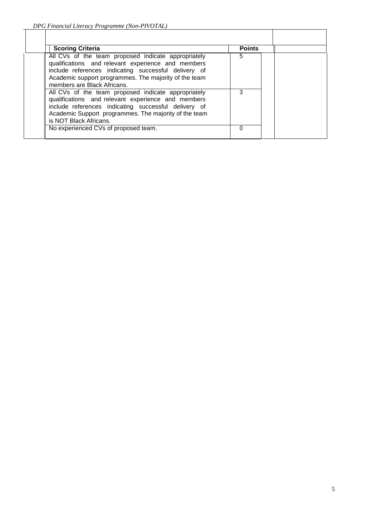| <b>Scoring Criteria</b>                                                                                                                                                                                                                                   | <b>Points</b> |  |
|-----------------------------------------------------------------------------------------------------------------------------------------------------------------------------------------------------------------------------------------------------------|---------------|--|
| All CVs of the team proposed indicate appropriately<br>qualifications and relevant experience and members<br>include references indicating successful delivery of<br>Academic support programmes. The majority of the team<br>members are Black Africans. | b             |  |
| All CVs of the team proposed indicate appropriately<br>qualifications and relevant experience and members<br>include references indicating successful delivery of<br>Academic Support programmes. The majority of the team<br>is NOT Black Africans.      |               |  |
| No experienced CVs of proposed team.                                                                                                                                                                                                                      |               |  |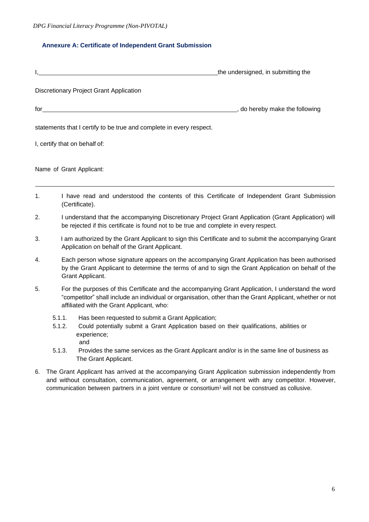## **Annexure A: Certificate of Independent Grant Submission**

| Ι. |                                                                                                                                                                                                                                                                                                | the undersigned, in submitting the |
|----|------------------------------------------------------------------------------------------------------------------------------------------------------------------------------------------------------------------------------------------------------------------------------------------------|------------------------------------|
|    | Discretionary Project Grant Application                                                                                                                                                                                                                                                        |                                    |
|    | $\int$ for $\frac{1}{\sqrt{2}}$ . The set of $\frac{1}{\sqrt{2}}$ is the set of $\frac{1}{\sqrt{2}}$ is the set of $\frac{1}{\sqrt{2}}$ is the set of $\frac{1}{\sqrt{2}}$ is the set of $\frac{1}{\sqrt{2}}$ is the set of $\frac{1}{\sqrt{2}}$ is the set of $\frac{1}{\sqrt{2}}$ is the set | do hereby make the following       |
|    | statements that I certify to be true and complete in every respect.                                                                                                                                                                                                                            |                                    |
|    | I, certify that on behalf of:                                                                                                                                                                                                                                                                  |                                    |
|    | Name of Grant Applicant:                                                                                                                                                                                                                                                                       |                                    |
| 1. | I have read and understood the contents of this Certificate of Independent Grant Submission<br>(Certificate).                                                                                                                                                                                  |                                    |

- 2. I understand that the accompanying Discretionary Project Grant Application (Grant Application) will be rejected if this certificate is found not to be true and complete in every respect.
- 3. I am authorized by the Grant Applicant to sign this Certificate and to submit the accompanying Grant Application on behalf of the Grant Applicant.
- 4. Each person whose signature appears on the accompanying Grant Application has been authorised by the Grant Applicant to determine the terms of and to sign the Grant Application on behalf of the Grant Applicant.
- 5. For the purposes of this Certificate and the accompanying Grant Application, I understand the word "competitor" shall include an individual or organisation, other than the Grant Applicant, whether or not affiliated with the Grant Applicant, who:
	- 5.1.1. Has been requested to submit a Grant Application;
	- 5.1.2. Could potentially submit a Grant Application based on their qualifications, abilities or experience; and
	- 5.1.3. Provides the same services as the Grant Applicant and/or is in the same line of business as The Grant Applicant.
- 6. The Grant Applicant has arrived at the accompanying Grant Application submission independently from and without consultation, communication, agreement, or arrangement with any competitor. However, communication between partners in a joint venture or consortium<sup>1</sup> will not be construed as collusive.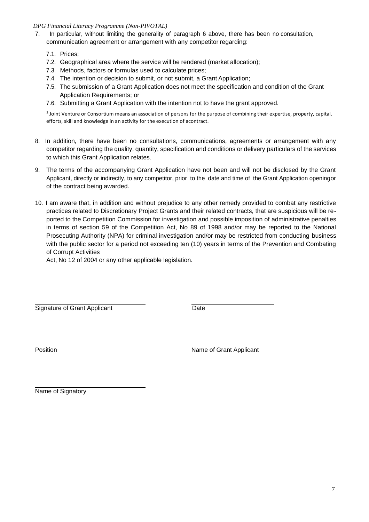### *DPG Financial Literacy Programme (Non-PIVOTAL)*

- 7. In particular, without limiting the generality of paragraph 6 above, there has been no consultation, communication agreement or arrangement with any competitor regarding:
	- 7.1. Prices;
	- 7.2. Geographical area where the service will be rendered (market allocation);
	- 7.3. Methods, factors or formulas used to calculate prices;
	- 7.4. The intention or decision to submit, or not submit, a Grant Application;
	- 7.5. The submission of a Grant Application does not meet the specification and condition of the Grant Application Requirements; or
	- 7.6. Submitting a Grant Application with the intention not to have the grant approved.

<sup>1</sup>Joint Venture or Consortium means an association of persons for the purpose of combining their expertise, property, capital, efforts, skill and knowledge in an activity for the execution of acontract.

- 8. In addition, there have been no consultations, communications, agreements or arrangement with any competitor regarding the quality, quantity, specification and conditions or delivery particulars of the services to which this Grant Application relates.
- 9. The terms of the accompanying Grant Application have not been and will not be disclosed by the Grant Applicant, directly or indirectly, to any competitor, prior to the date and time of the Grant Application openingor of the contract being awarded.
- 10. I am aware that, in addition and without prejudice to any other remedy provided to combat any restrictive practices related to Discretionary Project Grants and their related contracts, that are suspicious will be reported to the Competition Commission for investigation and possible imposition of administrative penalties in terms of section 59 of the Competition Act, No 89 of 1998 and/or may be reported to the National Prosecuting Authority (NPA) for criminal investigation and/or may be restricted from conducting business with the public sector for a period not exceeding ten (10) years in terms of the Prevention and Combating of Corrupt Activities

Act, No 12 of 2004 or any other applicable legislation.

Signature of Grant Applicant **Date** 

Position **Name of Grant Applicant** 

Name of Signatory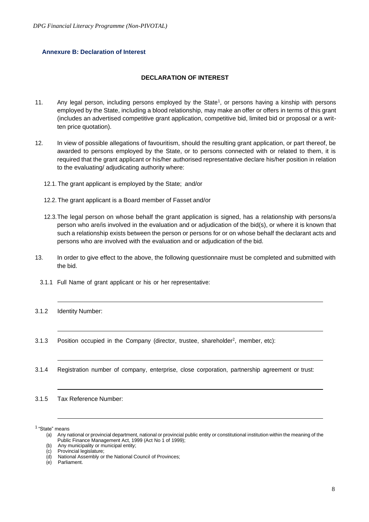### **Annexure B: Declaration of Interest**

### **DECLARATION OF INTEREST**

- 11. Any legal person, including persons employed by the State<sup>1</sup>, or persons having a kinship with persons employed by the State, including a blood relationship, may make an offer or offers in terms of this grant (includes an advertised competitive grant application, competitive bid, limited bid or proposal or a written price quotation).
- 12. In view of possible allegations of favouritism, should the resulting grant application, or part thereof, be awarded to persons employed by the State, or to persons connected with or related to them, it is required that the grant applicant or his/her authorised representative declare his/her position in relation to the evaluating/ adjudicating authority where:
	- 12.1. The grant applicant is employed by the State; and/or
	- 12.2. The grant applicant is a Board member of Fasset and/or
	- 12.3.The legal person on whose behalf the grant application is signed, has a relationship with persons/a person who are/is involved in the evaluation and or adjudication of the bid(s), or where it is known that such a relationship exists between the person or persons for or on whose behalf the declarant acts and persons who are involved with the evaluation and or adjudication of the bid.
- 13. In order to give effect to the above, the following questionnaire must be completed and submitted with the bid.
	- 3.1.1 Full Name of grant applicant or his or her representative:
- 3.1.2 Identity Number:
- 3.1.3 Position occupied in the Company (director, trustee, shareholder<sup>2</sup>, member, etc):
- 3.1.4 Registration number of company, enterprise, close corporation, partnership agreement or trust:
- 3.1.5 Tax Reference Number:

<sup>&</sup>lt;sup>1</sup> "State" means

<sup>(</sup>a) Any national or provincial department, national or provincial public entity or constitutional institution within the meaning of the Public Finance Management Act, 1999 (Act No 1 of 1999);

<sup>(</sup>b) Any municipality or municipal entity;<br>(c) Provincial legislature;

Provincial legislature;

<sup>(</sup>d) National Assembly or the National Council of Provinces;

<sup>(</sup>e) Parliament.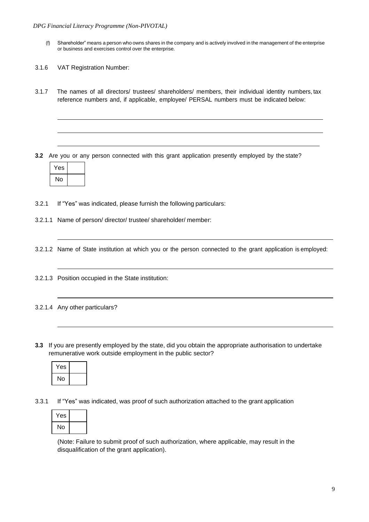- (f) Shareholder" means a person who owns shares in the company and is actively involved in the management of the enterprise or business and exercises control over the enterprise.
- 3.1.6 VAT Registration Number:
- 3.1.7 The names of all directors/ trustees/ shareholders/ members, their individual identity numbers, tax reference numbers and, if applicable, employee/ PERSAL numbers must be indicated below:
- **3.2** Are you or any person connected with this grant application presently employed by the state?



- 3.2.1 If "Yes" was indicated, please furnish the following particulars:
- 3.2.1.1 Name of person/ director/ trustee/ shareholder/ member:
- 3.2.1.2 Name of State institution at which you or the person connected to the grant application is employed:
- 3.2.1.3 Position occupied in the State institution:
- 3.2.1.4 Any other particulars?
- **3.3** If you are presently employed by the state, did you obtain the appropriate authorisation to undertake remunerative work outside employment in the public sector?

| Yes |  |
|-----|--|
| No  |  |

3.3.1 If "Yes" was indicated, was proof of such authorization attached to the grant application

| Yes |  |
|-----|--|
| No  |  |

(Note: Failure to submit proof of such authorization, where applicable, may result in the disqualification of the grant application).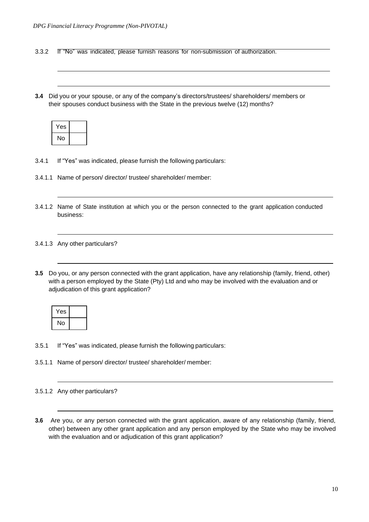3.3.2 If "No" was indicated, please furnish reasons for non-submission of authorization.

**3.4** Did you or your spouse, or any of the company's directors/trustees/ shareholders/ members or their spouses conduct business with the State in the previous twelve (12) months?

| Yes |  |
|-----|--|
| No  |  |

- 3.4.1 If "Yes" was indicated, please furnish the following particulars:
- 3.4.1.1 Name of person/ director/ trustee/ shareholder/ member:
- 3.4.1.2 Name of State institution at which you or the person connected to the grant application conducted business:
- 3.4.1.3 Any other particulars?
- **3.5** Do you, or any person connected with the grant application, have any relationship (family, friend, other) with a person employed by the State (Pty) Ltd and who may be involved with the evaluation and or adjudication of this grant application?

| Yes |  |
|-----|--|
| No  |  |

- 3.5.1 If "Yes" was indicated, please furnish the following particulars:
- 3.5.1.1 Name of person/ director/ trustee/ shareholder/ member:
- 3.5.1.2 Any other particulars?
- **3.6** Are you, or any person connected with the grant application, aware of any relationship (family, friend, other) between any other grant application and any person employed by the State who may be involved with the evaluation and or adjudication of this grant application?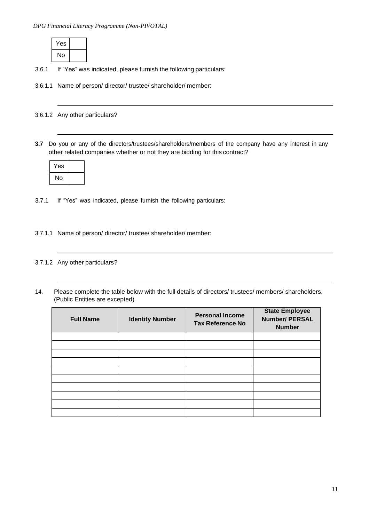

- 3.6.1 If "Yes" was indicated, please furnish the following particulars:
- 3.6.1.1 Name of person/ director/ trustee/ shareholder/ member:

3.6.1.2 Any other particulars?

**3.7** Do you or any of the directors/trustees/shareholders/members of the company have any interest in any other related companies whether or not they are bidding for this contract?

| Yes |  |
|-----|--|
| No  |  |

3.7.1 If "Yes" was indicated, please furnish the following particulars:

- 3.7.1.1 Name of person/ director/ trustee/ shareholder/ member:
- 3.7.1.2 Any other particulars?
- 14. Please complete the table below with the full details of directors/ trustees/ members/ shareholders. (Public Entities are excepted)

| <b>Full Name</b> | <b>Identity Number</b> | <b>Personal Income</b><br><b>Tax Reference No</b> | <b>State Employee</b><br><b>Number/ PERSAL</b><br><b>Number</b> |
|------------------|------------------------|---------------------------------------------------|-----------------------------------------------------------------|
|                  |                        |                                                   |                                                                 |
|                  |                        |                                                   |                                                                 |
|                  |                        |                                                   |                                                                 |
|                  |                        |                                                   |                                                                 |
|                  |                        |                                                   |                                                                 |
|                  |                        |                                                   |                                                                 |
|                  |                        |                                                   |                                                                 |
|                  |                        |                                                   |                                                                 |
|                  |                        |                                                   |                                                                 |
|                  |                        |                                                   |                                                                 |